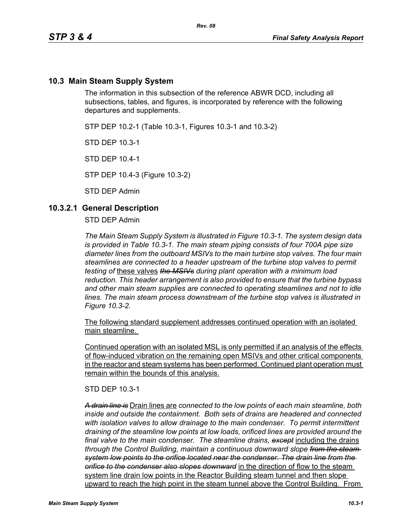## **10.3 Main Steam Supply System**

The information in this subsection of the reference ABWR DCD, including all subsections, tables, and figures, is incorporated by reference with the following departures and supplements.

STP DEP 10.2-1 (Table 10.3-1, Figures 10.3-1 and 10.3-2)

STD DEP 10.3-1

STD DEP 10.4-1

STP DEP 10.4-3 (Figure 10.3-2)

STD DEP Admin

### **10.3.2.1 General Description**

STD DEP Admin

*The Main Steam Supply System is illustrated in Figure 10.3-1. The system design data is provided in Table 10.3-1. The main steam piping consists of four 700A pipe size diameter lines from the outboard MSIVs to the main turbine stop valves. The four main steamlines are connected to a header upstream of the turbine stop valves to permit testing of* these valves *the MSIVs during plant operation with a minimum load reduction. This header arrangement is also provided to ensure that the turbine bypass and other main steam supplies are connected to operating steamlines and not to idle lines. The main steam process downstream of the turbine stop valves is illustrated in Figure 10.3-2.*

The following standard supplement addresses continued operation with an isolated main steamline.

Continued operation with an isolated MSL is only permitted if an analysis of the effects of flow-induced vibration on the remaining open MSIVs and other critical components in the reactor and steam systems has been performed. Continued plant operation must remain within the bounds of this analysis.

STD DEP 10.3-1

*A drain line is* Drain lines are *connected to the low points of each main steamline, both inside and outside the containment. Both sets of drains are headered and connected with isolation valves to allow drainage to the main condenser. To permit intermittent draining of the steamline low points at low loads, orificed lines are provided around the final valve to the main condenser. The steamline drains, except* including the drains *through the Control Building, maintain a continuous downward slope from the steam system low points to the orifice located near the condenser. The drain line from the orifice to the condenser also slopes downward* in the direction of flow to the steam system line drain low points in the Reactor Building steam tunnel and then slope upward to reach the high point in the steam tunnel above the Control Building. From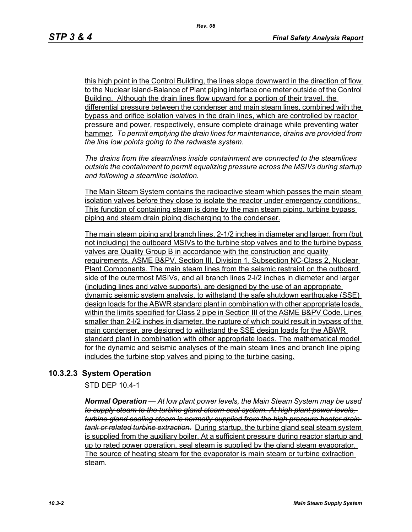this high point in the Control Building, the lines slope downward in the direction of flow to the Nuclear Island-Balance of Plant piping interface one meter outside of the Control Building. Although the drain lines flow upward for a portion of their travel, the differential pressure between the condenser and main steam lines, combined with the bypass and orifice isolation valves in the drain lines, which are controlled by reactor pressure and power, respectively, ensure complete drainage while preventing water hammer*. To permit emptying the drain lines for maintenance, drains are provided from the line low points going to the radwaste system.*

*The drains from the steamlines inside containment are connected to the steamlines outside the containment to permit equalizing pressure across the MSIVs during startup and following a steamline isolation.*

The Main Steam System contains the radioactive steam which passes the main steam isolation valves before they close to isolate the reactor under emergency conditions. This function of containing steam is done by the main steam piping, turbine bypass piping and steam drain piping discharging to the condenser.

The main steam piping and branch lines, 2-1/2 inches in diameter and larger, from (but not including) the outboard MSIVs to the turbine stop valves and to the turbine bypass valves are Quality Group B in accordance with the construction and quality requirements, ASME B&PV, Section III, Division 1, Subsection NC-Class 2, Nuclear Plant Components. The main steam lines from the seismic restraint on the outboard side of the outermost MSIVs, and all branch lines 2-l/2 inches in diameter and larger (including lines and valve supports), are designed by the use of an appropriate dynamic seismic system analysis, to withstand the safe shutdown earthquake (SSE) design loads for the ABWR standard plant in combination with other appropriate loads, within the limits specified for Class 2 pipe in Section III of the ASME B&PV Code. Lines smaller than 2-l/2 inches in diameter, the rupture of which could result in bypass of the main condenser, are designed to withstand the SSE design loads for the ABWR standard plant in combination with other appropriate loads. The mathematical model for the dynamic and seismic analyses of the main steam lines and branch line piping includes the turbine stop valves and piping to the turbine casing.

## **10.3.2.3 System Operation**

STD DEP 10.4-1

*Normal Operation — At low plant power levels, the Main Steam System may be used to supply steam to the turbine gland steam seal system. At high plant power levels, turbine gland sealing steam is normally supplied from the high pressure heater drain tank or related turbine extraction.* During startup, the turbine gland seal steam system is supplied from the auxiliary boiler. At a sufficient pressure during reactor startup and up to rated power operation, seal steam is supplied by the gland steam evaporator. The source of heating steam for the evaporator is main steam or turbine extraction steam.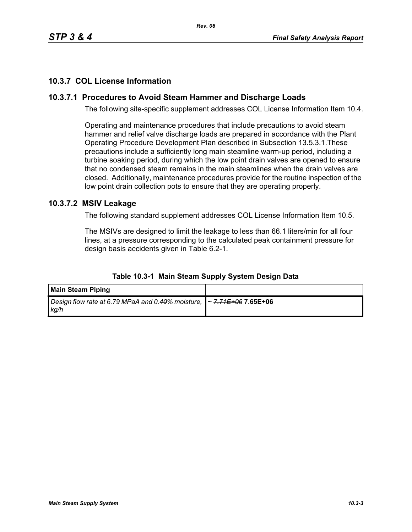# **10.3.7 COL License Information**

# **10.3.7.1 Procedures to Avoid Steam Hammer and Discharge Loads**

The following site-specific supplement addresses COL License Information Item 10.4.

Operating and maintenance procedures that include precautions to avoid steam hammer and relief valve discharge loads are prepared in accordance with the Plant Operating Procedure Development Plan described in Subsection 13.5.3.1.These precautions include a sufficiently long main steamline warm-up period, including a turbine soaking period, during which the low point drain valves are opened to ensure that no condensed steam remains in the main steamlines when the drain valves are closed. Additionally, maintenance procedures provide for the routine inspection of the low point drain collection pots to ensure that they are operating properly.

# **10.3.7.2 MSIV Leakage**

The following standard supplement addresses COL License Information Item 10.5.

The MSIVs are designed to limit the leakage to less than 66.1 liters/min for all four lines, at a pressure corresponding to the calculated peak containment pressure for design basis accidents given in Table 6.2-1.

| <b>Main Steam Piping</b>                                                                   |  |
|--------------------------------------------------------------------------------------------|--|
| Design flow rate at 6.79 MPaA and 0.40% moisture,   ~ <del>7.71E+06</del> 7.65E+06<br>kg/h |  |

#### **Table 10.3-1 Main Steam Supply System Design Data**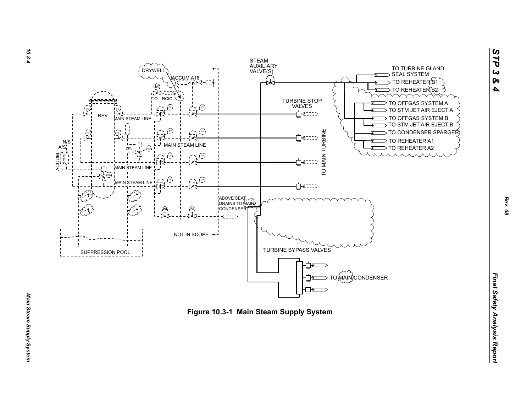



*Rev. 08*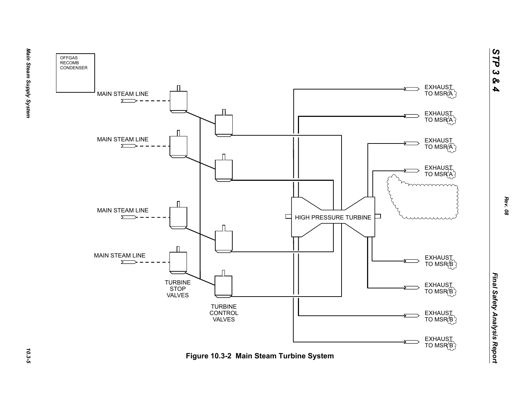



Main Steam Supply System